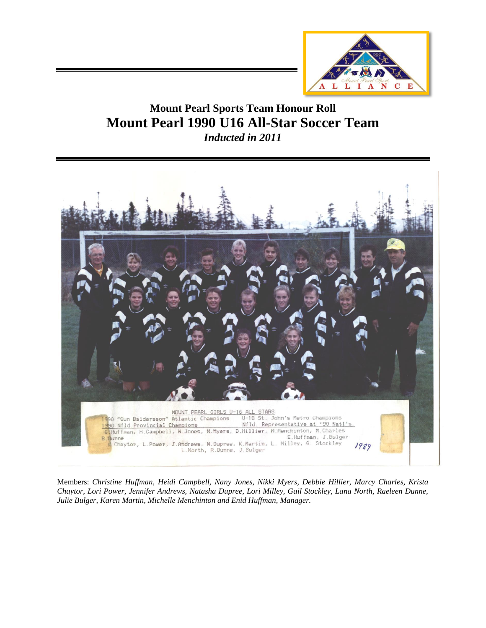

## **Mount Pearl Sports Team Honour Roll Mount Pearl 1990 U16 All-Star Soccer Team**  *Inducted in 2011*



Members: *Christine Huffman, Heidi Campbell, Nany Jones, Nikki Myers, Debbie Hillier, Marcy Charles, Krista Chaytor, Lori Power, Jennifer Andrews, Natasha Dupree, Lori Milley, Gail Stockley, Lana North, Raeleen Dunne, Julie Bulger, Karen Martin, Michelle Menchinton and Enid Huffman, Manager.*